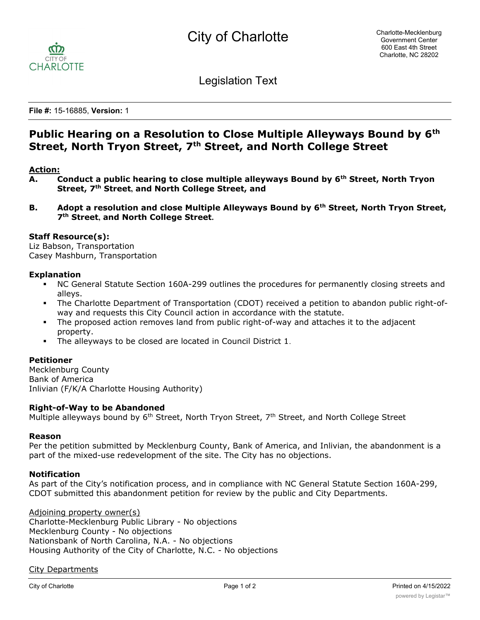

Legislation Text

**File #:** 15-16885, **Version:** 1

# **Public Hearing on a Resolution to Close Multiple Alleyways Bound by 6th Street, North Tryon Street, 7th Street, and North College Street**

### **Action:**

- **A. Conduct a public hearing to close multiple alleyways Bound by 6th Street, North Tryon Street, 7th Street, and North College Street, and**
- **B. Adopt a resolution and close Multiple Alleyways Bound by 6th Street, North Tryon Street, 7th Street, and North College Street.**

#### **Staff Resource(s):**

Liz Babson, Transportation Casey Mashburn, Transportation

#### **Explanation**

- § NC General Statute Section 160A-299 outlines the procedures for permanently closing streets and alleys.
- The Charlotte Department of Transportation (CDOT) received a petition to abandon public right-ofway and requests this City Council action in accordance with the statute.
- The proposed action removes land from public right-of-way and attaches it to the adjacent property.
- The alleyways to be closed are located in Council District 1.

#### **Petitioner**

Mecklenburg County Bank of America Inlivian (F/K/A Charlotte Housing Authority)

#### **Right-of-Way to be Abandoned**

Multiple alleyways bound by 6<sup>th</sup> Street, North Tryon Street, 7<sup>th</sup> Street, and North College Street

#### **Reason**

Per the petition submitted by Mecklenburg County, Bank of America, and Inlivian, the abandonment is a part of the mixed-use redevelopment of the site. The City has no objections.

#### **Notification**

As part of the City's notification process, and in compliance with NC General Statute Section 160A-299, CDOT submitted this abandonment petition for review by the public and City Departments.

Adjoining property owner(s) Charlotte-Mecklenburg Public Library - No objections Mecklenburg County - No objections Nationsbank of North Carolina, N.A. - No objections Housing Authority of the City of Charlotte, N.C. - No objections

#### City Departments